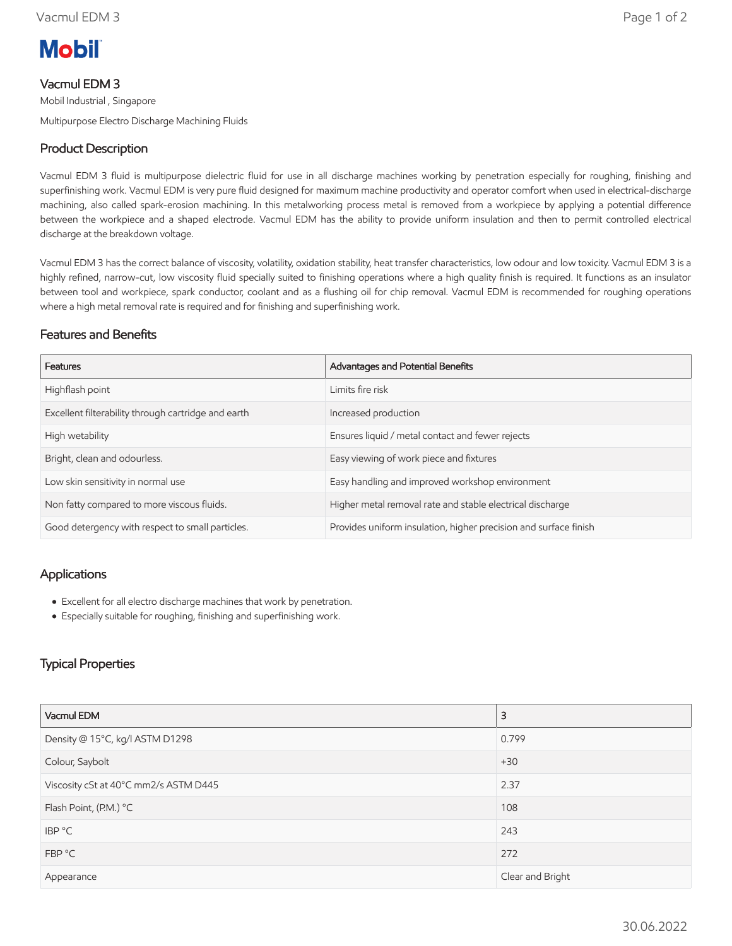

# Vacmul EDM 3

Mobil Industrial , Singapore Multipurpose Electro Discharge Machining Fluids

# Product Description

Vacmul EDM 3 fluid is multipurpose dielectric fluid for use in all discharge machines working by penetration especially for roughing, finishing and superfinishing work. Vacmul EDM is very pure fluid designed for maximum machine productivity and operator comfort when used in electrical-discharge machining, also called spark-erosion machining. In this metalworking process metal is removed from a workpiece by applying a potential difference between the workpiece and a shaped electrode. Vacmul EDM has the ability to provide uniform insulation and then to permit controlled electrical discharge at the breakdown voltage.

Vacmul EDM 3 has the correct balance of viscosity, volatility, oxidation stability, heat transfer characteristics, low odour and low toxicity. Vacmul EDM 3 is a highly refined, narrow-cut, low viscosity fluid specially suited to finishing operations where a high quality finish is required. It functions as an insulator between tool and workpiece, spark conductor, coolant and as a flushing oil for chip removal. Vacmul EDM is recommended for roughing operations where a high metal removal rate is required and for finishing and superfinishing work.

#### Features and Benefits

| Features                                            | Advantages and Potential Benefits                                |
|-----------------------------------------------------|------------------------------------------------------------------|
| Highflash point                                     | Limits fire risk                                                 |
| Excellent filterability through cartridge and earth | Increased production                                             |
| High wetability                                     | Ensures liquid / metal contact and fewer rejects                 |
| Bright, clean and odourless.                        | Easy viewing of work piece and fixtures                          |
| Low skin sensitivity in normal use                  | Easy handling and improved workshop environment                  |
| Non fatty compared to more viscous fluids.          | Higher metal removal rate and stable electrical discharge        |
| Good detergency with respect to small particles.    | Provides uniform insulation, higher precision and surface finish |

### Applications

- Excellent for all electro discharge machines that work by penetration.
- Especially suitable for roughing, finishing and superfinishing work.

## Typical Properties

| Vacmul EDM                            | 3                |  |
|---------------------------------------|------------------|--|
| Density @ 15°C, kg/l ASTM D1298       | 0.799            |  |
| Colour, Saybolt                       | $+30$            |  |
| Viscosity cSt at 40°C mm2/s ASTM D445 | 2.37             |  |
| Flash Point, (P.M.) °C                | 108              |  |
| IBP °C                                | 243              |  |
| FBP °C                                | 272              |  |
| Appearance                            | Clear and Bright |  |